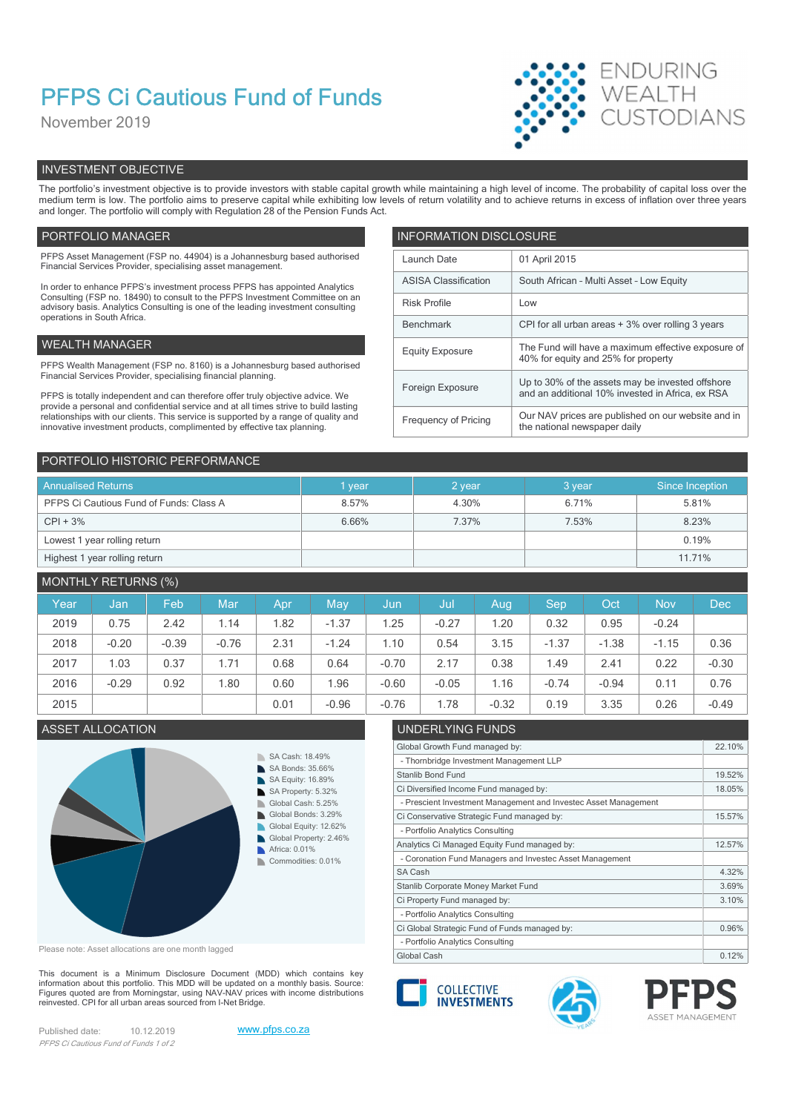# PFPS Ci Cautious Fund of Funds

November 2019



# INVESTMENT OBJECTIVE

The portfolio's investment objective is to provide investors with stable capital growth while maintaining a high level of income. The probability of capital loss over the medium term is low. The portfolio aims to preserve capital while exhibiting low levels of return volatility and to achieve returns in excess of inflation over three years and longer. The portfolio will comply with Regulation 28 of the Pension Funds Act.

# PORTFOLIO MANAGER **INFORMATION DISCLOSURE**

| PFPS Asset Management (FSP no. 44904) is a Johannesburg based authorised<br>01 April 2015<br>Launch Date<br>Financial Services Provider, specialising asset management.<br><b>ASISA Classification</b><br>South African - Multi Asset - Low Equity<br>In order to enhance PFPS's investment process PFPS has appointed Analytics<br>Consulting (FSP no. 18490) to consult to the PFPS Investment Committee on an<br><b>Risk Profile</b><br>Low<br>advisory basis. Analytics Consulting is one of the leading investment consulting<br>operations in South Africa.<br>CPI for all urban areas + 3% over rolling 3 years<br>Benchmark<br>WEALTH MANAGER .<br><b>Equity Exposure</b><br>40% for equity and 25% for property<br>PFPS Wealth Management (FSP no. 8160) is a Johannesburg based authorised<br>Financial Services Provider, specialising financial planning.<br>Up to 30% of the assets may be invested offshore<br>Foreign Exposure<br>and an additional 10% invested in Africa, ex RSA<br>PFPS is totally independent and can therefore offer truly objective advice. We<br>provide a personal and confidential service and at all times strive to build lasting<br>relationships with our clients. This service is supported by a range of quality and<br>Frequency of Pricing<br>the national newspaper daily<br>innovative investment products, complimented by effective tax planning. |  |                                                    |
|-------------------------------------------------------------------------------------------------------------------------------------------------------------------------------------------------------------------------------------------------------------------------------------------------------------------------------------------------------------------------------------------------------------------------------------------------------------------------------------------------------------------------------------------------------------------------------------------------------------------------------------------------------------------------------------------------------------------------------------------------------------------------------------------------------------------------------------------------------------------------------------------------------------------------------------------------------------------------------------------------------------------------------------------------------------------------------------------------------------------------------------------------------------------------------------------------------------------------------------------------------------------------------------------------------------------------------------------------------------------------------------------------------|--|----------------------------------------------------|
|                                                                                                                                                                                                                                                                                                                                                                                                                                                                                                                                                                                                                                                                                                                                                                                                                                                                                                                                                                                                                                                                                                                                                                                                                                                                                                                                                                                                       |  |                                                    |
|                                                                                                                                                                                                                                                                                                                                                                                                                                                                                                                                                                                                                                                                                                                                                                                                                                                                                                                                                                                                                                                                                                                                                                                                                                                                                                                                                                                                       |  |                                                    |
|                                                                                                                                                                                                                                                                                                                                                                                                                                                                                                                                                                                                                                                                                                                                                                                                                                                                                                                                                                                                                                                                                                                                                                                                                                                                                                                                                                                                       |  |                                                    |
|                                                                                                                                                                                                                                                                                                                                                                                                                                                                                                                                                                                                                                                                                                                                                                                                                                                                                                                                                                                                                                                                                                                                                                                                                                                                                                                                                                                                       |  |                                                    |
|                                                                                                                                                                                                                                                                                                                                                                                                                                                                                                                                                                                                                                                                                                                                                                                                                                                                                                                                                                                                                                                                                                                                                                                                                                                                                                                                                                                                       |  | The Fund will have a maximum effective exposure of |
|                                                                                                                                                                                                                                                                                                                                                                                                                                                                                                                                                                                                                                                                                                                                                                                                                                                                                                                                                                                                                                                                                                                                                                                                                                                                                                                                                                                                       |  |                                                    |
|                                                                                                                                                                                                                                                                                                                                                                                                                                                                                                                                                                                                                                                                                                                                                                                                                                                                                                                                                                                                                                                                                                                                                                                                                                                                                                                                                                                                       |  |                                                    |
|                                                                                                                                                                                                                                                                                                                                                                                                                                                                                                                                                                                                                                                                                                                                                                                                                                                                                                                                                                                                                                                                                                                                                                                                                                                                                                                                                                                                       |  |                                                    |
|                                                                                                                                                                                                                                                                                                                                                                                                                                                                                                                                                                                                                                                                                                                                                                                                                                                                                                                                                                                                                                                                                                                                                                                                                                                                                                                                                                                                       |  | Our NAV prices are published on our website and in |

| PORTFOLIO HISTORIC PERFORMANCE          |        |        |         |                 |  |  |  |  |
|-----------------------------------------|--------|--------|---------|-----------------|--|--|--|--|
| <b>Annualised Returns</b>               | 1 year | 2 year | 3 year. | Since Inception |  |  |  |  |
| PFPS Ci Cautious Fund of Funds: Class A | 8.57%  | 4.30%  | 6.71%   | 5.81%           |  |  |  |  |
| $CPI + 3%$                              | 6.66%  | 7.37%  | 7.53%   | 8.23%           |  |  |  |  |
| Lowest 1 year rolling return            |        |        |         | 0.19%           |  |  |  |  |
| Highest 1 year rolling return           |        |        |         | 11.71%          |  |  |  |  |

# MONTHLY RETURNS (%)

| Year | Jan     | Feb     | Mar     | Apr  | May     | Jun     | Jul     | Aug     | <b>Sep</b> | Oct     | <b>Nov</b> | <b>Dec</b> |
|------|---------|---------|---------|------|---------|---------|---------|---------|------------|---------|------------|------------|
| 2019 | 0.75    | 2.42    | 1.14    | .82  | $-1.37$ | 1.25    | $-0.27$ | 1.20    | 0.32       | 0.95    | $-0.24$    |            |
| 2018 | $-0.20$ | $-0.39$ | $-0.76$ | 2.31 | $-1.24$ | 1.10    | 0.54    | 3.15    | $-1.37$    | $-1.38$ | $-1.15$    | 0.36       |
| 2017 | .03     | 0.37    | 1.71    | 0.68 | 0.64    | $-0.70$ | 2.17    | 0.38    | 1.49       | 2.41    | 0.22       | $-0.30$    |
| 2016 | $-0.29$ | 0.92    | 1.80    | 0.60 | .96     | $-0.60$ | $-0.05$ | 1.16    | $-0.74$    | $-0.94$ | 0.11       | 0.76       |
| 2015 |         |         |         | 0.01 | $-0.96$ | $-0.76$ | .78     | $-0.32$ | 0.19       | 3.35    | 0.26       | $-0.49$    |



Please note: Asset allocations are one month lagged

This document is a Minimum Disclosure Document (MDD) which contains key Financial about this portfolio. This MDD will be updated on a monthly basis. Source:<br>Finances quoted are from Morningstar, using NAV-NAV prices with income distributions Figures quoted are from Morningstar, using NAV-NAV prices with income distributions<br>
reinvested. CPI for all urban areas sourced from I-Net Bridge. reinvested. CPI for all urban areas sourced from I-Net Bridge.

Published date: 10.12.2019 www.pfps.co.za PFPS Ci Cautious Fund of Funds 1 of 2